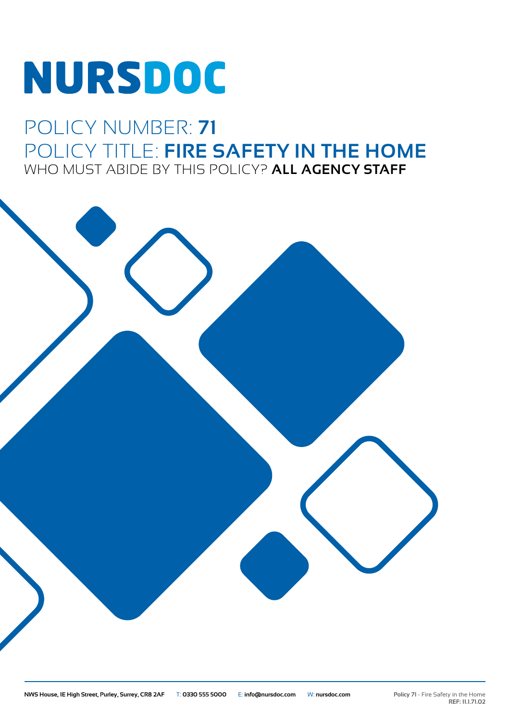# **NURSDOC**

# POLICY NUMBER: **71** POLICY TITLE: **FIRE SAFETY IN THE HOME** WHO MUST ABIDE BY THIS POLICY? **ALL AGENCY STAFF**